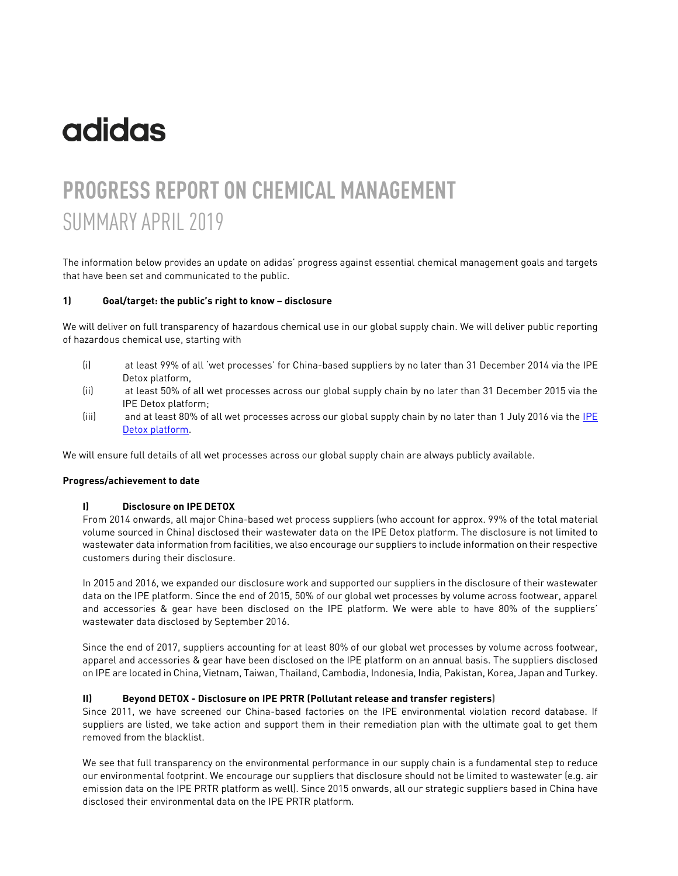# **adidas**

# **PROGRESS REPORT ON CHEMICAL MANAGEMENT** SUMMARY APRIL 2019

The information below provides an update on adidas' progress against essential chemical management goals and targets that have been set and communicated to the public.

#### **1) Goal/target: the public's right to know – disclosure**

We will deliver on full transparency of hazardous chemical use in our global supply chain. We will deliver public reporting of hazardous chemical use, starting with

- (i) at least 99% of all 'wet processes' for China-based suppliers by no later than 31 December 2014 via the IPE Detox platform,
- (ii) at least 50% of all wet processes across our global supply chain by no later than 31 December 2015 via the IPE Detox platform;
- (iii) and at least 80% of all wet processes across our global supply chain by no later than 1 July 2016 via th[e IPE](http://wwwen.ipe.org.cn/GreenSupplyChain/Main.aspx)  [Detox platform.](http://wwwen.ipe.org.cn/GreenSupplyChain/Main.aspx)

We will ensure full details of all wet processes across our global supply chain are always publicly available.

#### **Progress/achievement to date**

#### **I) Disclosure on IPE DETOX**

From 2014 onwards, all major China-based wet process suppliers (who account for approx. 99% of the total material volume sourced in China) disclosed their wastewater data on the IPE Detox platform. The disclosure is not limited to wastewater data information from facilities, we also encourage our suppliers to include information on their respective customers during their disclosure.

In 2015 and 2016, we expanded our disclosure work and supported our suppliers in the disclosure of their wastewater data on the IPE platform. Since the end of 2015, 50% of our global wet processes by volume across footwear, apparel and accessories & gear have been disclosed on the IPE platform. We were able to have 80% of the suppliers' wastewater data disclosed by September 2016.

Since the end of 2017, suppliers accounting for at least 80% of our global wet processes by volume across footwear, apparel and accessories & gear have been disclosed on the IPE platform on an annual basis. The suppliers disclosed on IPE are located in China, Vietnam, Taiwan, Thailand, Cambodia, Indonesia, India, Pakistan, Korea, Japan and Turkey.

#### **II) Beyond DETOX - Disclosure on IPE PRTR (Pollutant release and transfer registers)**

Since 2011, we have screened our China-based factories on the IPE environmental violation record database. If suppliers are listed, we take action and support them in their remediation plan with the ultimate goal to get them removed from the blacklist.

We see that full transparency on the environmental performance in our supply chain is a fundamental step to reduce our environmental footprint. We encourage our suppliers that disclosure should not be limited to wastewater (e.g. air emission data on the IPE PRTR platform as well). Since 2015 onwards, all our strategic suppliers based in China have disclosed their environmental data on the IPE PRTR platform.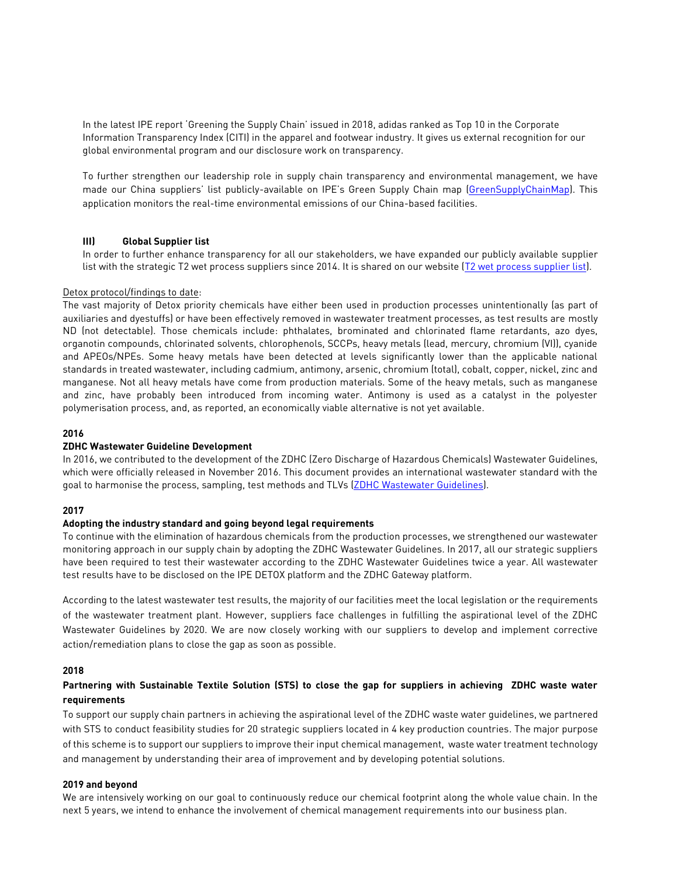In the latest IPE report '[Greening the Supply Chain](http://wwwoa.ipe.org.cn/Upload/201610280455082261.pdf)' issued in 2018, adidas ranked as Top 10 in the Corporate Information Transparency Index (CITI) in the apparel and footwear industry. It gives us external recognition for our global environmental program and our disclosure work on transparency.

To further strengthen our leadership role in supply chain transparency and environmental management, we have made our China suppliers' list publicly-available on IPE's Green Supply Chain map [\(GreenSupplyChainMap\)](http://wwwen.ipe.org.cn/MapBrand/Brand.aspx). This application monitors the real-time environmental emissions of our China-based facilities.

# **III) Global Supplier list**

In order to further enhance transparency for all our stakeholders, we have expanded our publicly available supplier list with the strategic T2 wet process suppliers since 2014. It is shared on our website [\(T2 wet process supplier list\)](https://www.adidas-group.com/en/sustainability/compliance/supply-chain-structure/).

#### Detox protocol/findings to date:

The vast majority of Detox priority chemicals have either been used in production processes unintentionally (as part of auxiliaries and dyestuffs) or have been effectively removed in wastewater treatment processes, as test results are mostly ND (not detectable). Those chemicals include: phthalates, brominated and chlorinated flame retardants, azo dyes, organotin compounds, chlorinated solvents, chlorophenols, SCCPs, heavy metals (lead, mercury, chromium (VI)), cyanide and APEOs/NPEs. Some heavy metals have been detected at levels significantly lower than the applicable national standards in treated wastewater, including cadmium, antimony, arsenic, chromium (total), cobalt, copper, nickel, zinc and manganese. Not all heavy metals have come from production materials. Some of the heavy metals, such as manganese and zinc, have probably been introduced from incoming water. Antimony is used as a catalyst in the polyester polymerisation process, and, as reported, an economically viable alternative is not yet available.

#### **2016**

#### **ZDHC Wastewater Guideline Development**

In 2016, we contributed to the development of the ZDHC (Zero Discharge of Hazardous Chemicals) Wastewater Guidelines, which were officially released in November 2016. This document provides an international wastewater standard with the goal to harmonise the process, sampling, test methods and TLVs [\(ZDHC Wastewater Guidelines\)](http://www.roadmaptozero.com/programme/wastewater-quality/).

# **2017**

#### **Adopting the industry standard and going beyond legal requirements**

To continue with the elimination of hazardous chemicals from the production processes, we strengthened our wastewater monitoring approach in our supply chain by adopting the ZDHC Wastewater Guidelines. In 2017, all our strategic suppliers have been required to test their wastewater according to the ZDHC Wastewater Guidelines twice a year. All wastewater test results have to be disclosed on the IPE DETOX platform and the ZDHC Gateway platform.

According to the latest wastewater test results, the majority of our facilities meet the local legislation or the requirements of the wastewater treatment plant. However, suppliers face challenges in fulfilling the aspirational level of the ZDHC Wastewater Guidelines by 2020. We are now closely working with our suppliers to develop and implement corrective action/remediation plans to close the gap as soon as possible.

#### **2018**

# **Partnering with Sustainable Textile Solution (STS) to close the gap for suppliers in achieving ZDHC waste water requirements**

To support our supply chain partners in achieving the aspirational level of the ZDHC waste water guidelines, we partnered with STS to conduct feasibility studies for 20 strategic suppliers located in 4 key production countries. The major purpose of this scheme is to support our suppliers to improve their input chemical management, waste water treatment technology and management by understanding their area of improvement and by developing potential solutions.

#### **2019 and beyond**

We are intensively working on our goal to continuously reduce our chemical footprint along the whole value chain. In the next 5 years, we intend to enhance the involvement of chemical management requirements into our business plan.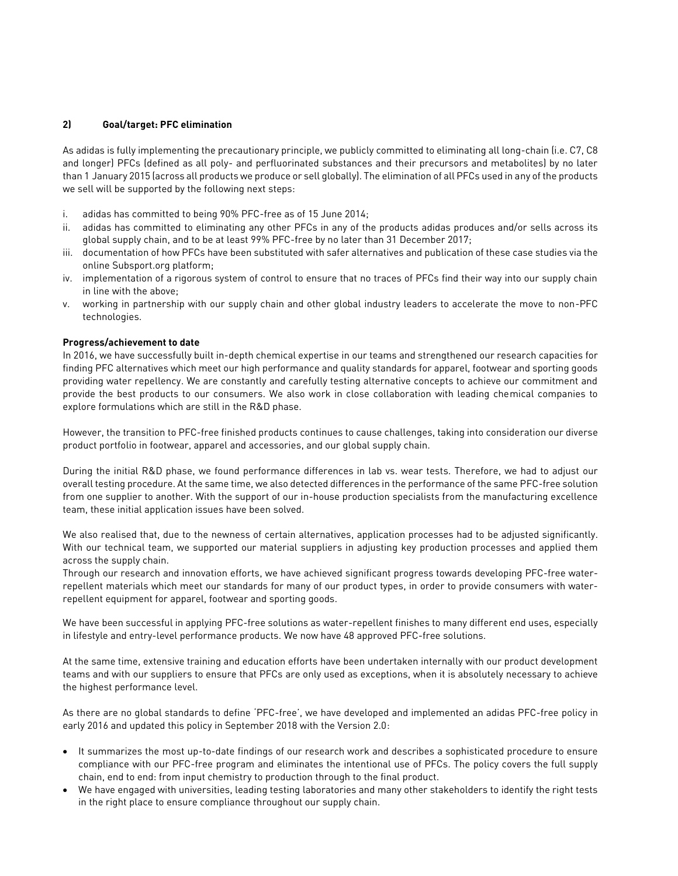# **2) Goal/target: PFC elimination**

As adidas is fully implementing the precautionary principle, we publicly committed to eliminating all long-chain (i.e. C7, C8 and longer) PFCs (defined as all poly- and perfluorinated substances and their precursors and metabolites) by no later than 1 January 2015 (across all products we produce or sell globally). The elimination of all PFCs used in any of the products we sell will be supported by the following next steps:

- i. adidas has committed to being 90% PFC-free as of 15 June 2014;
- ii. adidas has committed to eliminating any other PFCs in any of the products adidas produces and/or sells across its global supply chain, and to be at least 99% PFC-free by no later than 31 December 2017;
- iii. documentation of how PFCs have been substituted with safer alternatives and publication of these case studies via the online Subsport.org platform;
- iv. implementation of a rigorous system of control to ensure that no traces of PFCs find their way into our supply chain in line with the above;
- v. working in partnership with our supply chain and other global industry leaders to accelerate the move to non-PFC technologies.

# **Progress/achievement to date**

In 2016, we have successfully built in-depth chemical expertise in our teams and strengthened our research capacities for finding PFC alternatives which meet our high performance and quality standards for apparel, footwear and sporting goods providing water repellency. We are constantly and carefully testing alternative concepts to achieve our commitment and provide the best products to our consumers. We also work in close collaboration with leading chemical companies to explore formulations which are still in the R&D phase.

However, the transition to PFC-free finished products continues to cause challenges, taking into consideration our diverse product portfolio in footwear, apparel and accessories, and our global supply chain.

During the initial R&D phase, we found performance differences in lab vs. wear tests. Therefore, we had to adjust our overall testing procedure. At the same time, we also detected differences in the performance of the same PFC-free solution from one supplier to another. With the support of our in-house production specialists from the manufacturing excellence team, these initial application issues have been solved.

We also realised that, due to the newness of certain alternatives, application processes had to be adjusted significantly. With our technical team, we supported our material suppliers in adjusting key production processes and applied them across the supply chain.

Through our research and innovation efforts, we have achieved significant progress towards developing PFC-free waterrepellent materials which meet our standards for many of our product types, in order to provide consumers with waterrepellent equipment for apparel, footwear and sporting goods.

We have been successful in applying PFC-free solutions as water-repellent finishes to many different end uses, especially in lifestyle and entry-level performance products. We now have 48 approved PFC-free solutions.

At the same time, extensive training and education efforts have been undertaken internally with our product development teams and with our suppliers to ensure that PFCs are only used as exceptions, when it is absolutely necessary to achieve the highest performance level.

As there are no global standards to define 'PFC-free', we have developed and implemented an adidas PFC-free policy in early 2016 and updated this policy in September 2018 with the Version 2.0:

- It summarizes the most up-to-date findings of our research work and describes a sophisticated procedure to ensure compliance with our PFC-free program and eliminates the intentional use of PFCs. The policy covers the full supply chain, end to end: from input chemistry to production through to the final product.
- We have engaged with universities, leading testing laboratories and many other stakeholders to identify the right tests in the right place to ensure compliance throughout our supply chain.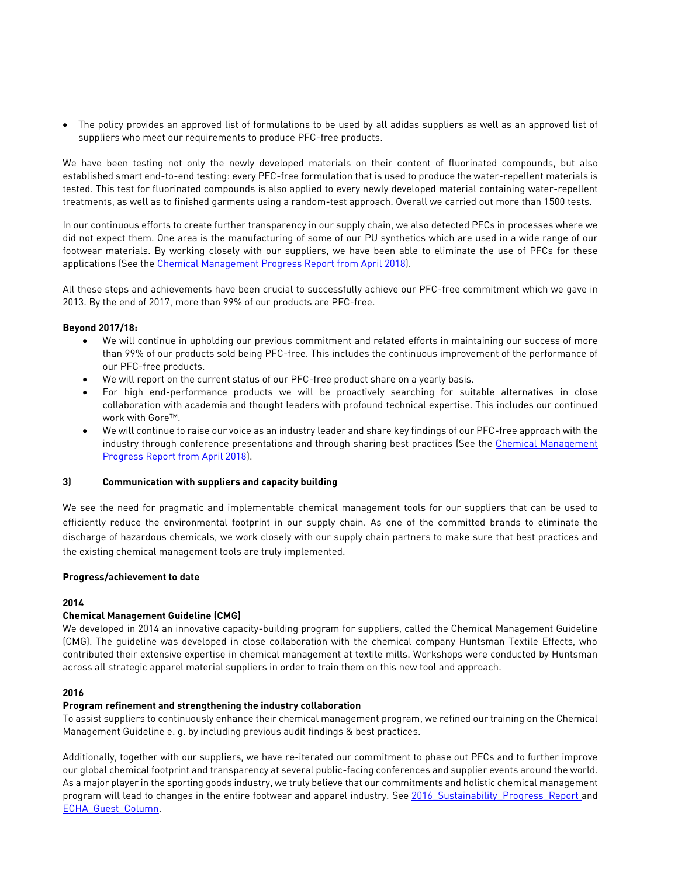• The policy provides an approved list of formulations to be used by all adidas suppliers as well as an approved list of suppliers who meet our requirements to produce PFC-free products.

We have been testing not only the newly developed materials on their content of fluorinated compounds, but also established smart end-to-end testing: every PFC-free formulation that is used to produce the water-repellent materials is tested. This test for fluorinated compounds is also applied to every newly developed material containing water-repellent treatments, as well as to finished garments using a random-test approach. Overall we carried out more than 1500 tests.

In our continuous efforts to create further transparency in our supply chain, we also detected PFCs in processes where we did not expect them. One area is the manufacturing of some of our PU synthetics which are used in a wide range of our footwear materials. By working closely with our suppliers, we have been able to eliminate the use of PFCs for these applications (See the [Chemical Management Progress Report from April 2018\)](https://www.adidas-group.com/media/filer_public/32/97/32973aed-afe6-4770-ad3a-d8e83d13e346/progress_report_on_chemical_management_2018.pdf).

All these steps and achievements have been crucial to successfully achieve our PFC-free commitment which we gave in 2013. By the end of 2017, more than 99% of our products are PFC-free.

# **Beyond 2017/18:**

- We will continue in upholding our previous commitment and related efforts in maintaining our success of more than 99% of our products sold being PFC-free. This includes the continuous improvement of the performance of our PFC-free products.
- We will report on the current status of our PFC-free product share on a yearly basis.
- For high end-performance products we will be proactively searching for suitable alternatives in close collaboration with academia and thought leaders with profound technical expertise. This includes our continued work with Gore™.
- We will continue to raise our voice as an industry leader and share key findings of our PFC-free approach with the industry through conference presentations and through sharing best practices (See the [Chemical Management](https://www.adidas-group.com/media/filer_public/32/97/32973aed-afe6-4770-ad3a-d8e83d13e346/progress_report_on_chemical_management_2018.pdf)  [Progress Report from April 2018\)](https://www.adidas-group.com/media/filer_public/32/97/32973aed-afe6-4770-ad3a-d8e83d13e346/progress_report_on_chemical_management_2018.pdf).

#### **3) Communication with suppliers and capacity building**

We see the need for pragmatic and implementable chemical management tools for our suppliers that can be used to efficiently reduce the environmental footprint in our supply chain. As one of the committed brands to eliminate the discharge of hazardous chemicals, we work closely with our supply chain partners to make sure that best practices and the existing chemical management tools are truly implemented.

#### **Progress/achievement to date**

# **2014**

# **Chemical Management Guideline (CMG)**

We developed in 2014 an innovative capacity-building program for suppliers, called the Chemical Management Guideline (CMG). The guideline was developed in close collaboration with the chemical company Huntsman Textile Effects, who contributed their extensive expertise in chemical management at textile mills. Workshops were conducted by Huntsman across all strategic apparel material suppliers in order to train them on this new tool and approach.

# **2016**

# **Program refinement and strengthening the industry collaboration**

To assist suppliers to continuously enhance their chemical management program, we refined our training on the Chemical Management Guideline e. g. by including previous audit findings & best practices.

Additionally, together with our suppliers, we have re-iterated our commitment to phase out PFCs and to further improve our global chemical footprint and transparency at several public-facing conferences and supplier events around the world. As a major player in the sporting goods industry, we truly believe that our commitments and holistic chemical management program will lead to changes in the entire footwear and apparel industry. See 2016 Sustainability Progress\_Report and [ECHA\\_Guest\\_Column.](http://newsletter.echa.europa.eu/home/-/newsletter/entry/1_16_innovation-transparency-and-collaboration)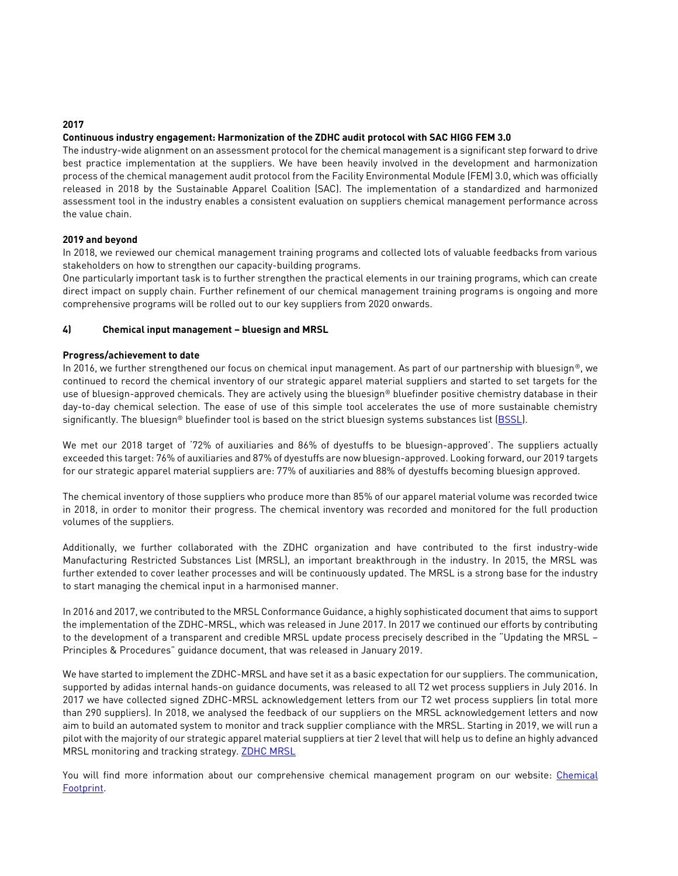# **2017**

# **Continuous industry engagement: Harmonization of the ZDHC audit protocol with SAC HIGG FEM 3.0**

The industry-wide alignment on an assessment protocol for the chemical management is a significant step forward to drive best practice implementation at the suppliers. We have been heavily involved in the development and harmonization process of the chemical management audit protocol from the Facility Environmental Module (FEM) 3.0, which was officially released in 2018 by the Sustainable Apparel Coalition (SAC). The implementation of a standardized and harmonized assessment tool in the industry enables a consistent evaluation on suppliers chemical management performance across the value chain.

# **2019 and beyond**

In 2018, we reviewed our chemical management training programs and collected lots of valuable feedbacks from various stakeholders on how to strengthen our capacity-building programs.

One particularly important task is to further strengthen the practical elements in our training programs, which can create direct impact on supply chain. Further refinement of our chemical management training programs is ongoing and more comprehensive programs will be rolled out to our key suppliers from 2020 onwards.

# **4) Chemical input management – bluesign and MRSL**

# **Progress/achievement to date**

In 2016, we further strengthened our focus on chemical input management. As part of our partnership with bluesign®, we continued to record the chemical inventory of our strategic apparel material suppliers and started to set targets for the use of bluesign-approved chemicals. They are actively using the bluesign® bluefinder positive chemistry database in their day-to-day chemical selection. The ease of use of this simple tool accelerates the use of more sustainable chemistry significantly. The bluesign® bluefinder tool is based on the strict bluesign systems substances list [\(BSSL\)](https://www.bluesign.com/de/business/downloads).

We met our 2018 target of '72% of auxiliaries and 86% of dyestuffs to be bluesign-approved'. The suppliers actually exceeded this target: 76% of auxiliaries and 87% of dyestuffs are now bluesign-approved. Looking forward, our 2019 targets for our strategic apparel material suppliers are: 77% of auxiliaries and 88% of dyestuffs becoming bluesign approved.

The chemical inventory of those suppliers who produce more than 85% of our apparel material volume was recorded twice in 2018, in order to monitor their progress. The chemical inventory was recorded and monitored for the full production volumes of the suppliers.

Additionally, we further collaborated with the ZDHC organization and have contributed to the first industry-wide Manufacturing Restricted Substances List (MRSL), an important breakthrough in the industry. In 2015, the MRSL was further extended to cover leather processes and will be continuously updated. The MRSL is a strong base for the industry to start managing the chemical input in a harmonised manner.

In 2016 and 2017, we contributed to the MRSL Conformance Guidance, a highly sophisticated document that aims to support the implementation of the ZDHC-MRSL, which was released in June 2017. In 2017 we continued our efforts by contributing to the development of a transparent and credible MRSL update process precisely described in the "Updating the MRSL – Principles & Procedures" guidance document, that was released in January 2019.

We have started to implement the ZDHC-MRSL and have set it as a basic expectation for our suppliers. The communication, supported by adidas internal hands-on guidance documents, was released to all T2 wet process suppliers in July 2016. In 2017 we have collected signed ZDHC-MRSL acknowledgement letters from our T2 wet process suppliers (in total more than 290 suppliers). In 2018, we analysed the feedback of our suppliers on the MRSL acknowledgement letters and now aim to build an automated system to monitor and track supplier compliance with the MRSL. Starting in 2019, we will run a pilot with the majority of our strategic apparel material suppliers at tier 2 level that will help us to define an highly advanced MRSL monitoring and tracking strategy. [ZDHC MRSL](http://www.roadmaptozero.com/fileadmin/pdf/MRSL_v1_1.pdf)

You will find more information about our comprehensive chemical management program on our website: Chemical [Footprint.](http://www.adidas-group.com/en/sustainability/products/chemical-footprint/)